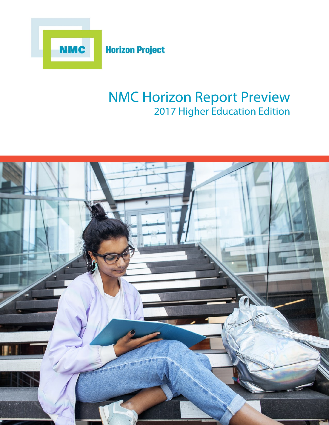

# **NMC Horizon Report Preview** 2017 Higher Education Edition

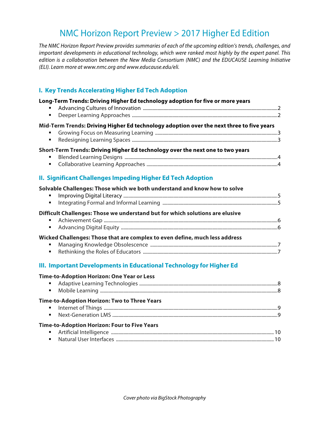# NMC Horizon Report Preview > 2017 Higher Ed Edition

*The NMC Horizon Report Preview provides summaries of each of the upcoming edition's trends, challenges, and important developments in educational technology, which were ranked most highly by the expert panel. This edition is a collaboration between the New Media Consortium (NMC) and the EDUCAUSE Learning Initiative (ELI). Learn more at www.nmc.org and www.educause.edu/eli.*

# **I. Key Trends Accelerating Higher Ed Tech Adoption**

#### **Long-Term Trends: Driving Higher Ed technology adoption for five or more years**

§ Advancing Cultures of Innovation ..............................................................................................................2 § Deeper Learning Approaches .......................................................................................................................2 **Mid-Term Trends: Driving Higher Ed technology adoption over the next three to five years** § Growing Focus on Measuring Learning ....................................................................................................3 § Redesigning Learning Spaces .......................................................................................................................3

# **Short-Term Trends: Driving Higher Ed technology over the next one to two years**

§ Blended Learning Designs .............................................................................................................................4 § Collaborative Learning Approaches ...........................................................................................................4

# **II. Significant Challenges Impeding Higher Ed Tech Adoption**

| Solvable Challenges: Those which we both understand and know how to solve     |  |
|-------------------------------------------------------------------------------|--|
|                                                                               |  |
|                                                                               |  |
| Difficult Challenges: Those we understand but for which solutions are elusive |  |
|                                                                               |  |
|                                                                               |  |
| Wicked Challenges: Those that are complex to even define, much less address   |  |
| $\blacksquare$                                                                |  |
|                                                                               |  |

# **III. Important Developments in Educational Technology for Higher Ed**

#### **Time-to-Adoption Horizon: One Year or Less**

| Time-to-Adoption Horizon: Two to Three Years |  |
|----------------------------------------------|--|
|                                              |  |
|                                              |  |
| Time-to-Adoption Horizon: Four to Five Years |  |
|                                              |  |
|                                              |  |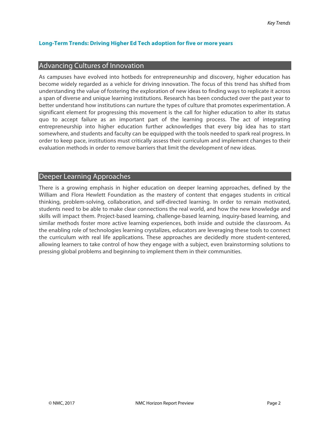# **Long-Term Trends: Driving Higher Ed Tech adoption for five or more years**

# Advancing Cultures of Innovation

As campuses have evolved into hotbeds for entrepreneurship and discovery, higher education has become widely regarded as a vehicle for driving innovation. The focus of this trend has shifted from understanding the value of fostering the exploration of new ideas to finding ways to replicate it across a span of diverse and unique learning institutions. Research has been conducted over the past year to better understand how institutions can nurture the types of culture that promotes experimentation. A significant element for progressing this movement is the call for higher education to alter its status quo to accept failure as an important part of the learning process. The act of integrating entrepreneurship into higher education further acknowledges that every big idea has to start somewhere, and students and faculty can be equipped with the tools needed to spark real progress. In order to keep pace, institutions must critically assess their curriculum and implement changes to their evaluation methods in order to remove barriers that limit the development of new ideas.

# Deeper Learning Approaches

There is a growing emphasis in higher education on deeper learning approaches, defined by the William and Flora Hewlett Foundation as the mastery of content that engages students in critical thinking, problem-solving, collaboration, and self-directed learning. In order to remain motivated, students need to be able to make clear connections the real world, and how the new knowledge and skills will impact them. Project-based learning, challenge-based learning, inquiry-based learning, and similar methods foster more active learning experiences, both inside and outside the classroom. As the enabling role of technologies learning crystalizes, educators are leveraging these tools to connect the curriculum with real life applications. These approaches are decidedly more student-centered, allowing learners to take control of how they engage with a subject, even brainstorming solutions to pressing global problems and beginning to implement them in their communities.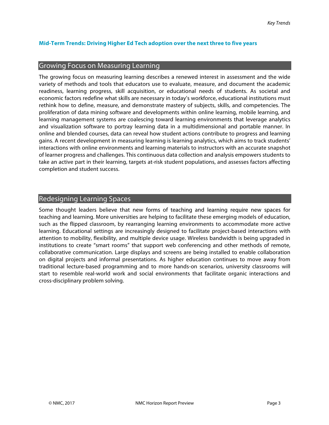# **Mid-Term Trends: Driving Higher Ed Tech adoption over the next three to five years**

# Growing Focus on Measuring Learning

The growing focus on measuring learning describes a renewed interest in assessment and the wide variety of methods and tools that educators use to evaluate, measure, and document the academic readiness, learning progress, skill acquisition, or educational needs of students. As societal and economic factors redefine what skills are necessary in today's workforce, educational institutions must rethink how to define, measure, and demonstrate mastery of subjects, skills, and competencies. The proliferation of data mining software and developments within online learning, mobile learning, and learning management systems are coalescing toward learning environments that leverage analytics and visualization software to portray learning data in a multidimensional and portable manner. In online and blended courses, data can reveal how student actions contribute to progress and learning gains. A recent development in measuring learning is learning analytics, which aims to track students' interactions with online environments and learning materials to instructors with an accurate snapshot of learner progress and challenges. This continuous data collection and analysis empowers students to take an active part in their learning, targets at-risk student populations, and assesses factors affecting completion and student success.

# Redesigning Learning Spaces

Some thought leaders believe that new forms of teaching and learning require new spaces for teaching and learning. More universities are helping to facilitate these emerging models of education, such as the flipped classroom, by rearranging learning environments to accommodate more active learning. Educational settings are increasingly designed to facilitate project-based interactions with attention to mobility, flexibility, and multiple device usage. Wireless bandwidth is being upgraded in institutions to create "smart rooms" that support web conferencing and other methods of remote, collaborative communication. Large displays and screens are being installed to enable collaboration on digital projects and informal presentations. As higher education continues to move away from traditional lecture-based programming and to more hands-on scenarios, university classrooms will start to resemble real-world work and social environments that facilitate organic interactions and cross-disciplinary problem solving.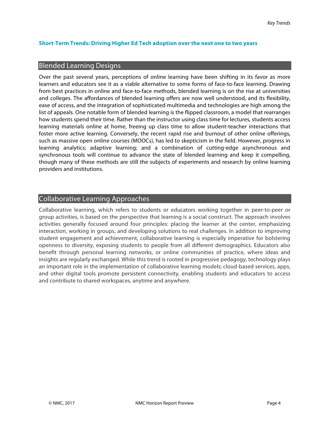# **Short-Term Trends: Driving Higher Ed Tech adoption over the next one to two years**

#### Blended Learning Designs

Over the past several years, perceptions of online learning have been shifting in its favor as more learners and educators see it as a viable alternative to some forms of face-to-face learning. Drawing from best practices in online and face-to-face methods, blended learning is on the rise at universities and colleges. The affordances of blended learning offers are now well understood, and its flexibility, ease of access, and the integration of sophisticated multimedia and technologies are high among the list of appeals. One notable form of blended learning is the flipped classroom, a model that rearranges how students spend their time. Rather than the instructor using class time for lectures, students access learning materials online at home, freeing up class time to allow student-teacher interactions that foster more active learning. Conversely, the recent rapid rise and burnout of other online offerings, such as massive open online courses (MOOCs), has led to skepticism in the field. However, progress in learning analytics; adaptive learning; and a combination of cutting-edge asynchronous and synchronous tools will continue to advance the state of blended learning and keep it compelling, though many of these methods are still the subjects of experiments and research by online learning providers and institutions.

# Collaborative Learning Approaches

Collaborative learning, which refers to students or educators working together in peer-to-peer or group activities, is based on the perspective that learning is a social construct. The approach involves activities generally focused around four principles: placing the learner at the center, emphasizing interaction, working in groups, and developing solutions to real challenges. In addition to improving student engagement and achievement, collaborative learning is especially imperative for bolstering openness to diversity, exposing students to people from all different demographics. Educators also benefit through personal learning networks, or online communities of practice, where ideas and insights are regularly exchanged. While this trend is rooted in progressive pedagogy, technology plays an important role in the implementation of collaborative learning models; cloud-based services, apps, and other digital tools promote persistent connectivity, enabling students and educators to access and contribute to shared workspaces, anytime and anywhere.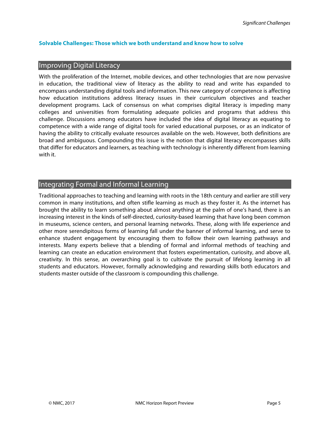# **Solvable Challenges: Those which we both understand and know how to solve**

#### Improving Digital Literacy

With the proliferation of the Internet, mobile devices, and other technologies that are now pervasive in education, the traditional view of literacy as the ability to read and write has expanded to encompass understanding digital tools and information. This new category of competence is affecting how education institutions address literacy issues in their curriculum objectives and teacher development programs. Lack of consensus on what comprises digital literacy is impeding many colleges and universities from formulating adequate policies and programs that address this challenge. Discussions among educators have included the idea of digital literacy as equating to competence with a wide range of digital tools for varied educational purposes, or as an indicator of having the ability to critically evaluate resources available on the web. However, both definitions are broad and ambiguous. Compounding this issue is the notion that digital literacy encompasses skills that differ for educators and learners, as teaching with technology is inherently different from learning with it.

# Integrating Formal and Informal Learning

Traditional approaches to teaching and learning with roots in the 18th century and earlier are still very common in many institutions, and often stifle learning as much as they foster it. As the internet has brought the ability to learn something about almost anything at the palm of one's hand, there is an increasing interest in the kinds of self-directed, curiosity-based learning that have long been common in museums, science centers, and personal learning networks. These, along with life experience and other more serendipitous forms of learning fall under the banner of informal learning, and serve to enhance student engagement by encouraging them to follow their own learning pathways and interests. Many experts believe that a blending of formal and informal methods of teaching and learning can create an education environment that fosters experimentation, curiosity, and above all, creativity. In this sense, an overarching goal is to cultivate the pursuit of lifelong learning in all students and educators. However, formally acknowledging and rewarding skills both educators and students master outside of the classroom is compounding this challenge.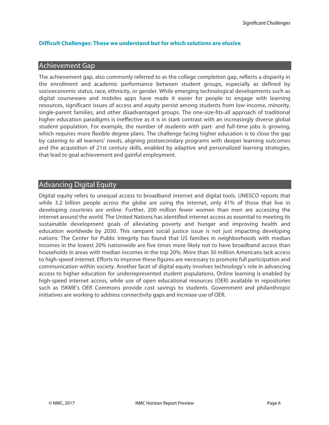# **Difficult Challenges: Those we understand but for which solutions are elusive**

# Achievement Gap

The achievement gap, also commonly referred to as the college completion gap, reflects a disparity in the enrollment and academic performance between student groups, especially as defined by socioeconomic status, race, ethnicity, or gender. While emerging technological developments such as digital courseware and mobiles apps have made it easier for people to engage with learning resources, significant issues of access and equity persist among students from low-income, minority, single-parent families, and other disadvantaged groups. The one-size-fits-all approach of traditional higher education paradigms is ineffective as it is in stark contrast with an increasingly diverse global student population. For example, the number of students with part- and full-time jobs is growing, which requires more flexible degree plans. The challenge facing higher education is to close the gap by catering to all learners' needs, aligning postsecondary programs with deeper learning outcomes and the acquisition of 21st century skills, enabled by adaptive and personalized learning strategies, that lead to goal achievement and gainful employment.

# Advancing Digital Equity

Digital equity refers to unequal access to broadband internet and digital tools. UNESCO reports that while 3.2 billion people across the globe are using the internet, only 41% of those that live in developing countries are online. Further, 200 million fewer women than men are accessing the internet around the world. The United Nations has identified internet access as essential to meeting its sustainable development goals of alleviating poverty and hunger and improving health and education worldwide by 2030. This rampant social justice issue is not just impacting developing nations: The Center for Public Integrity has found that US families in neighborhoods with median incomes in the lowest 20% nationwide are five times more likely not to have broadband access than households in areas with median incomes in the top 20%. More than 30 million Americans lack access to high-speed internet. Efforts to improve these figures are necessary to promote full participation and communication within society. Another facet of digital equity involves technology's role in advancing access to higher education for underrepresented student populations. Online learning is enabled by high-speed internet access, while use of open educational resources (OER) available in repositories such as ISKME's OER Commons provide cost savings to students. Government and philanthropic initiatives are working to address connectivity gaps and increase use of OER.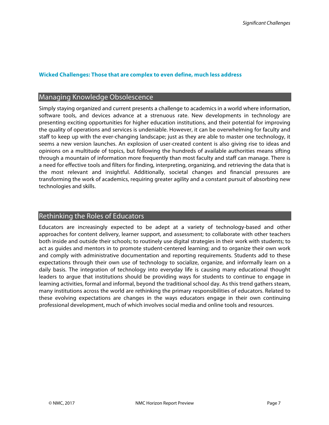#### **Wicked Challenges: Those that are complex to even define, much less address**

#### Managing Knowledge Obsolescence

Simply staying organized and current presents a challenge to academics in a world where information, software tools, and devices advance at a strenuous rate. New developments in technology are presenting exciting opportunities for higher education institutions, and their potential for improving the quality of operations and services is undeniable. However, it can be overwhelming for faculty and staff to keep up with the ever-changing landscape; just as they are able to master one technology, it seems a new version launches. An explosion of user-created content is also giving rise to ideas and opinions on a multitude of topics, but following the hundreds of available authorities means sifting through a mountain of information more frequently than most faculty and staff can manage. There is a need for effective tools and filters for finding, interpreting, organizing, and retrieving the data that is the most relevant and insightful. Additionally, societal changes and financial pressures are transforming the work of academics, requiring greater agility and a constant pursuit of absorbing new technologies and skills.

# Rethinking the Roles of Educators

Educators are increasingly expected to be adept at a variety of technology-based and other approaches for content delivery, learner support, and assessment; to collaborate with other teachers both inside and outside their schools; to routinely use digital strategies in their work with students; to act as guides and mentors in to promote student-centered learning; and to organize their own work and comply with administrative documentation and reporting requirements. Students add to these expectations through their own use of technology to socialize, organize, and informally learn on a daily basis. The integration of technology into everyday life is causing many educational thought leaders to argue that institutions should be providing ways for students to continue to engage in learning activities, formal and informal, beyond the traditional school day. As this trend gathers steam, many institutions across the world are rethinking the primary responsibilities of educators. Related to these evolving expectations are changes in the ways educators engage in their own continuing professional development, much of which involves social media and online tools and resources.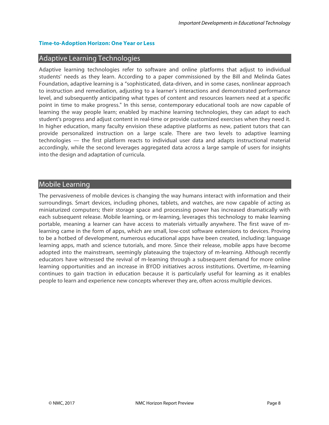#### **Time-to-Adoption Horizon: One Year or Less**

# Adaptive Learning Technologies

Adaptive learning technologies refer to software and online platforms that adjust to individual students' needs as they learn. According to a paper commissioned by the Bill and Melinda Gates Foundation, adaptive learning is a "sophisticated, data-driven, and in some cases, nonlinear approach to instruction and remediation, adjusting to a learner's interactions and demonstrated performance level, and subsequently anticipating what types of content and resources learners need at a specific point in time to make progress." In this sense, contemporary educational tools are now capable of learning the way people learn; enabled by machine learning technologies, they can adapt to each student's progress and adjust content in real-time or provide customized exercises when they need it. In higher education, many faculty envision these adaptive platforms as new, patient tutors that can provide personalized instruction on a large scale. There are two levels to adaptive learning technologies — the first platform reacts to individual user data and adapts instructional material accordingly, while the second leverages aggregated data across a large sample of users for insights into the design and adaptation of curricula.

# Mobile Learning

The pervasiveness of mobile devices is changing the way humans interact with information and their surroundings. Smart devices, including phones, tablets, and watches, are now capable of acting as miniaturized computers; their storage space and processing power has increased dramatically with each subsequent release. Mobile learning, or m-learning, leverages this technology to make learning portable, meaning a learner can have access to materials virtually anywhere. The first wave of mlearning came in the form of apps, which are small, low-cost software extensions to devices. Proving to be a hotbed of development, numerous educational apps have been created, including: language learning apps, math and science tutorials, and more. Since their release, mobile apps have become adopted into the mainstream, seemingly plateauing the trajectory of m-learning. Although recently educators have witnessed the revival of m-learning through a subsequent demand for more online learning opportunities and an increase in BYOD initiatives across institutions. Overtime, m-learning continues to gain traction in education because it is particularly useful for learning as it enables people to learn and experience new concepts wherever they are, often across multiple devices.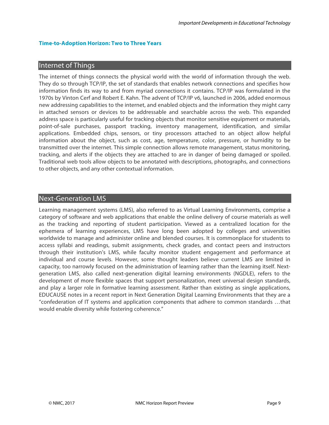#### **Time-to-Adoption Horizon: Two to Three Years**

# Internet of Things

The internet of things connects the physical world with the world of information through the web. They do so through TCP/IP, the set of standards that enables network connections and specifies how information finds its way to and from myriad connections it contains. TCP/IP was formulated in the 1970s by Vinton Cerf and Robert E. Kahn. The advent of TCP/IP v6, launched in 2006, added enormous new addressing capabilities to the internet, and enabled objects and the information they might carry in attached sensors or devices to be addressable and searchable across the web. This expanded address space is particularly useful for tracking objects that monitor sensitive equipment or materials, point-of-sale purchases, passport tracking, inventory management, identification, and similar applications. Embedded chips, sensors, or tiny processors attached to an object allow helpful information about the object, such as cost, age, temperature, color, pressure, or humidity to be transmitted over the internet. This simple connection allows remote management, status monitoring, tracking, and alerts if the objects they are attached to are in danger of being damaged or spoiled. Traditional web tools allow objects to be annotated with descriptions, photographs, and connections to other objects, and any other contextual information.

# Next-Generation LMS

Learning management systems (LMS), also referred to as Virtual Learning Environments, comprise a category of software and web applications that enable the online delivery of course materials as well as the tracking and reporting of student participation. Viewed as a centralized location for the ephemera of learning experiences, LMS have long been adopted by colleges and universities worldwide to manage and administer online and blended courses. It is commonplace for students to access syllabi and readings, submit assignments, check grades, and contact peers and instructors through their institution's LMS, while faculty monitor student engagement and performance at individual and course levels. However, some thought leaders believe current LMS are limited in capacity, too narrowly focused on the administration of learning rather than the learning itself. Nextgeneration LMS, also called next-generation digital learning environments (NGDLE), refers to the development of more flexible spaces that support personalization, meet universal design standards, and play a larger role in formative learning assessment. Rather than existing as single applications, EDUCAUSE notes in a recent report in Next Generation Digital Learning Environments that they are a "confederation of IT systems and application components that adhere to common standards …that would enable diversity while fostering coherence."